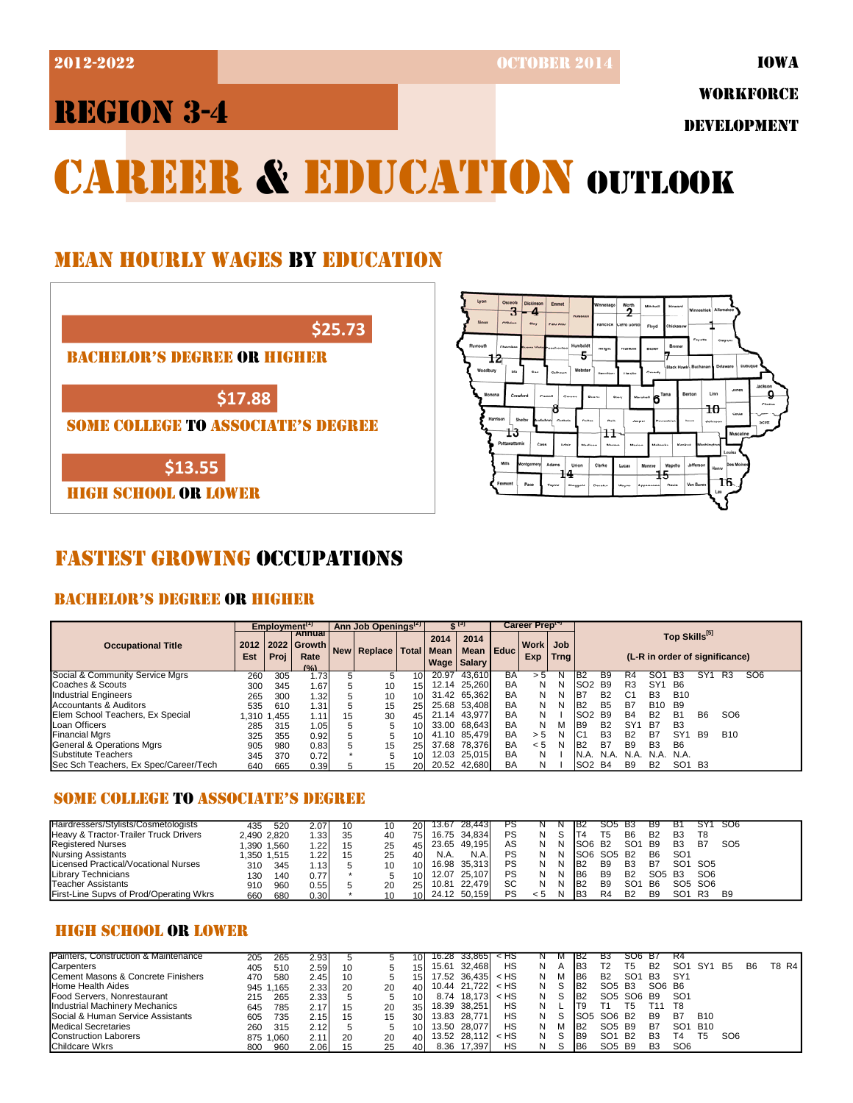2012-2022 OCTOBER 2014

# REGION 3-4

WORKFORCE

DEVELOPMENT

# **CAREER & EDUCATION OUTLOOK**

## MEAN HOURLY WAGES BY EDUCATION



HIGH SCHOOL OR LOWER

## FASTEST GROWING OCCUPATIONS

## BACHELOR'S DEGREE OR HIGHER

|                                       |             | Employment <sup>[1]</sup> |                                        |            | Ann Job Openings <sup>12</sup> |                 |                     | G [9]                        |                                                                                                            | Career Prept |   |                  |                |                 |                 |                 |                |                 |                 |  |
|---------------------------------------|-------------|---------------------------|----------------------------------------|------------|--------------------------------|-----------------|---------------------|------------------------------|------------------------------------------------------------------------------------------------------------|--------------|---|------------------|----------------|-----------------|-----------------|-----------------|----------------|-----------------|-----------------|--|
| <b>Occupational Title</b>             | 2012<br>Est | Proi                      | Annual<br>2022 Growth<br>Rate<br>(9/2) | <b>New</b> | <b>Replace</b>                 | <b>Total</b>    | 2014<br><b>Mean</b> | 2014<br><b>Wage   Salary</b> | Top Skills <sup>[5]</sup><br>Work Job<br>Mean Educ<br>(L-R in order of significance)<br>Exp<br><b>Trng</b> |              |   |                  |                |                 |                 |                 |                |                 |                 |  |
| Social & Community Service Mgrs       | 260         | 305                       | 1.73                                   |            |                                | 10              | 20.97               | 43.610                       | BA                                                                                                         | $\mathbf{h}$ |   | B <sub>2</sub>   | B9             | R4              |                 | <b>B</b> 3      |                | R3              | SO <sub>6</sub> |  |
| Coaches & Scouts                      | 300         | 345                       | 1.67                                   |            | 10                             | 15 <sub>l</sub> |                     | 12.14 25,260                 | BA                                                                                                         | N            | N | ISO <sub>2</sub> | <b>B</b> 9     | R <sub>3</sub>  | SY <sup>1</sup> | <b>B6</b>       |                |                 |                 |  |
| <b>Industrial Engineers</b>           | 265         | 300                       | 1.32                                   |            | 10                             | 10 <sup>1</sup> |                     | 31.42 65.362                 | BA                                                                                                         | N            |   | IB7              | <b>B2</b>      | C <sub>1</sub>  | B <sub>3</sub>  | <b>B10</b>      |                |                 |                 |  |
| Accountants & Auditors                | 535         | 610                       | 1.31                                   |            | 15                             | 25              |                     | 25.68 53.408                 | BA                                                                                                         | N            |   | B <sub>2</sub>   | <b>B5</b>      | <b>B7</b>       | <b>B10</b>      | <b>B</b> 9      |                |                 |                 |  |
| Elem School Teachers, Ex Special      | .310        | 1.455                     | 1.11                                   | 15         | 30                             | 45              |                     | 21.14 43.977                 | BA                                                                                                         | N            |   | SO <sub>2</sub>  | <b>B</b> 9     | <b>B4</b>       | <b>B2</b>       | <b>B1</b>       | B <sub>6</sub> | SO <sub>6</sub> |                 |  |
| Loan Officers                         | 285         | 315                       | 1.05                                   |            |                                | 10 <sup>1</sup> |                     | 33.00 68.643                 | BA                                                                                                         | N            |   | IB9              | B <sub>2</sub> | SY <sub>1</sub> | B7              | B <sub>3</sub>  |                |                 |                 |  |
| <b>Financial Mgrs</b>                 | 325         | 355                       | 0.92                                   |            |                                | 10              |                     | 41.10 85.479                 | BA                                                                                                         | > 5          | N | IC <sub>1</sub>  | B <sub>3</sub> | <b>B2</b>       | B7              | SY <sup>.</sup> | <b>B9</b>      | <b>B10</b>      |                 |  |
| General & Operations Mgrs             | 905         | 980                       | 0.83                                   |            | 15                             | 25              |                     | 37.68 78.376                 | BA                                                                                                         | < 5          | N | IB <sub>2</sub>  | B7             | <b>B9</b>       | B <sub>3</sub>  | B <sub>6</sub>  |                |                 |                 |  |
| Substitute Teachers                   | 345         | 370                       | 0.72                                   |            |                                | 10              |                     | 12.03 25,015                 | BA                                                                                                         | N            |   | IN.A.            | N.A.           | N.A             | N.A.            | N.A.            |                |                 |                 |  |
| Sec Sch Teachers, Ex Spec/Career/Tech | 640         | 665                       | 0.39                                   |            | 15                             | 20              |                     | 20.52 42.680                 | BA                                                                                                         |              |   | SO <sub>2</sub>  | B4             | <b>B</b> 9      | B <sub>2</sub>  | SO <sub>1</sub> | <b>B3</b>      |                 |                 |  |

## SOME COLLEGE TO ASSOCIATE'S DEGREE

| Hairdressers/Stylists/Cosmetologists    | 435         | 520        | 2.07   |    |    |     | 13.67 | 28.443       | ۲۵ |     |   |                 | SO5            | - B3            | B9             | в٠              | SY <sup>*</sup>                 | <b>SO6</b>      |
|-----------------------------------------|-------------|------------|--------|----|----|-----|-------|--------------|----|-----|---|-----------------|----------------|-----------------|----------------|-----------------|---------------------------------|-----------------|
| Heavy & Tractor-Trailer Truck Drivers   | 2,490 2,820 |            | . .331 | 35 | 40 | 751 |       | 16.75 34,834 | PS |     |   |                 | т5             | B <sub>6</sub>  | <b>B2</b>      | B <sub>3</sub>  | T8                              |                 |
| <b>Registered Nurses</b>                | .390        | 1,560      | .22    |    | 25 |     | 23.65 | 49,195       | AS |     | N | ISO6            | <b>B2</b>      | SO <sub>1</sub> | B <sub>9</sub> | B <sub>3</sub>  | B7                              | SO <sub>5</sub> |
| Nursing Assistants                      |             | ,350 1,515 | .22    |    | 25 |     | N.A.  | N.A.         | PS |     |   | ISO6            | SO5 B2         |                 | B <sub>6</sub> | SO <sub>1</sub> |                                 |                 |
| Licensed Practical/Vocational Nurses    | 310         | 345        | .13    |    | 10 |     |       | 16.98 35.313 | PS |     |   | IB <sub>2</sub> | B9             | B <sub>3</sub>  | B7             | SO1             | SO5                             |                 |
| Library Technicians                     | 130         | 140        | 0.77   |    |    |     | 12.07 | 25.107       | PS |     |   | IB6             | B <sub>9</sub> | B <sub>2</sub>  | SO5            | B3              | SO <sub>6</sub>                 |                 |
| Teacher Assistants                      | 910         | 960        | 0.55   |    | 20 |     | 10.81 | 22.479       | SC |     |   | IB <sub>2</sub> | B <sub>9</sub> | SO <sub>1</sub> | B <sub>6</sub> |                 | SO <sub>5</sub> SO <sub>6</sub> |                 |
| First-Line Supvs of Prod/Operating Wkrs | 660         | 680        | 0.30   |    | 10 |     |       | 24.12 50,159 | PS | כ > |   |                 | R <sub>4</sub> | B <sub>2</sub>  | B <sub>9</sub> | SO <sub>1</sub> | R3                              | B <sub>9</sub>  |

## HIGH SCHOOL OR LOWER

| Painters. Construction & Maintenance           | 205   | 265       | 2.93 |    |    |                 | 16.28 | 33.865       | א ד    |   | <b>IVI</b>     | IB2             | ьs                             | SO6             | - 67           | R4              |                 |                 |           |        |
|------------------------------------------------|-------|-----------|------|----|----|-----------------|-------|--------------|--------|---|----------------|-----------------|--------------------------------|-----------------|----------------|-----------------|-----------------|-----------------|-----------|--------|
| Carpenters                                     | 405   | 510       | 2.59 | 10 |    | 15I             | 15.61 | 32.468       | HS     | N | $\overline{A}$ | IB <sub>3</sub> | Т2                             | T5              | B <sub>2</sub> | SO <sup>.</sup> | SY <sub>1</sub> | <b>B5</b>       | <b>B6</b> | T8 R41 |
| <b>ICement Masons &amp; Concrete Finishers</b> | 470   | 580       | 2.45 | 10 |    | 15I             |       | 17.52 36,435 | $<$ HS |   | M              | IB6             | B <sub>2</sub>                 | SO <sub>1</sub> | <b>B3</b>      | SY <sup>4</sup> |                 |                 |           |        |
| <b>Home Health Aides</b>                       |       | 945 1.165 | 2.33 | 20 | 20 | 401             |       | 10.44 21.722 | $<$ HS |   |                | IB <sub>2</sub> | SO <sub>5</sub> B <sub>3</sub> |                 | SO6 B6         |                 |                 |                 |           |        |
| <b>Food Servers, Nonrestaurant</b>             | 215   | 265       | 2.33 |    |    | 10 <sup>1</sup> | 8.74  | 18.173       | $<$ HS |   |                | IB <sub>2</sub> | SO5 SO6 B9                     |                 |                | SO <sup>2</sup> |                 |                 |           |        |
| <b>Industrial Machinery Mechanics</b>          | 645   | 785       | 2.17 | 15 | 20 | 35I             | 18.39 | 38.251       | HS     |   |                |                 |                                |                 | 11             | T8              |                 |                 |           |        |
| <b>Social &amp; Human Service Assistants</b>   | 605   | 735       | 2.15 | 15 | 15 | 30I             | 13.83 | 28.771       | HS     |   |                | ISO5            | SO6 B2                         |                 | <b>B</b> 9     | B7              | <b>B10</b>      |                 |           |        |
| <b>Medical Secretaries</b>                     | 260   | 315       | 2.12 |    |    | 10 <sup>1</sup> | 13.50 | 28.077       | HS     |   | M              | IB <sub>2</sub> | SO <sub>5</sub> B <sub>9</sub> |                 | B7             | SO <sup>2</sup> | <b>B10</b>      |                 |           |        |
| <b>Construction Laborers</b>                   | 875 1 | .060      | 2.11 | 20 | 20 | 401             |       | 13.52 28.112 | < HS   |   |                | IB <sub>9</sub> | SO <sub>1</sub>                | <b>B2</b>       | B <sub>3</sub> |                 | T5.             | SO <sub>6</sub> |           |        |
| <b>Childcare Wkrs</b>                          | 800   | 960       | 2.06 | 15 |    | 401             |       | 8.36 17,397  | HS     |   |                | IB <sub>6</sub> | SO <sub>5</sub> B <sub>9</sub> |                 | B <sub>3</sub> | SO <sub>6</sub> |                 |                 |           |        |